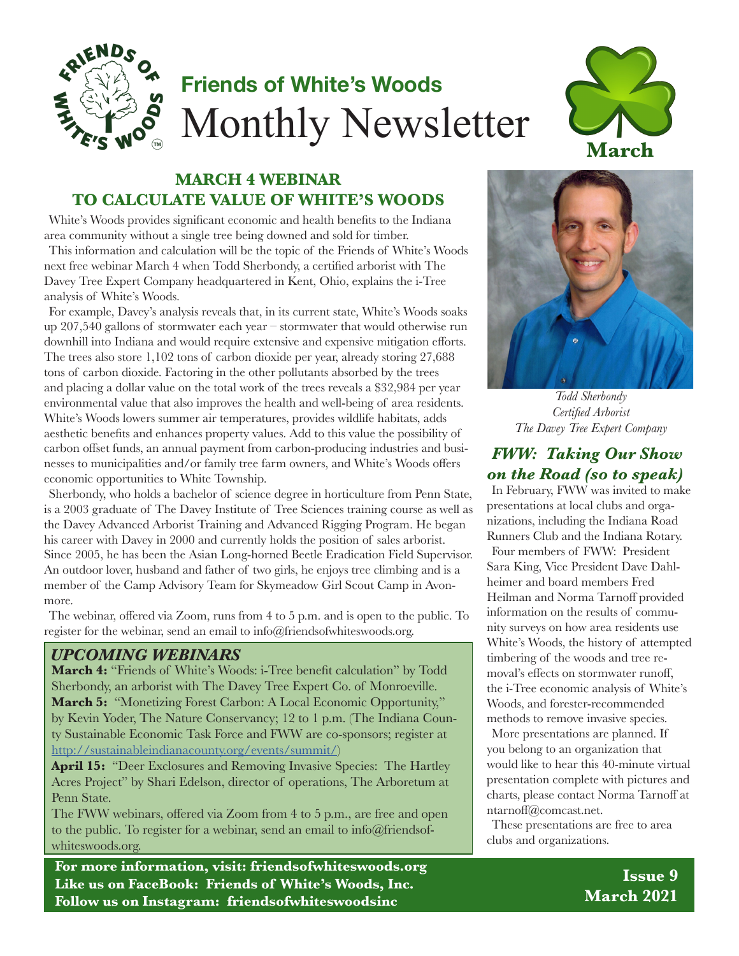

# **Friends of White's Woods** Monthly Newsletter



### **MARCH 4 WEBINAR TO CALCULATE VALUE OF WHITE'S WOODS**

White's Woods provides significant economic and health benefits to the Indiana area community without a single tree being downed and sold for timber. This information and calculation will be the topic of the Friends of White's Woods next free webinar March 4 when Todd Sherbondy, a certified arborist with The Davey Tree Expert Company headquartered in Kent, Ohio, explains the i-Tree analysis of White's Woods.

For example, Davey's analysis reveals that, in its current state, White's Woods soaks up 207,540 gallons of stormwater each year – stormwater that would otherwise run downhill into Indiana and would require extensive and expensive mitigation efforts. The trees also store 1,102 tons of carbon dioxide per year, already storing 27,688 tons of carbon dioxide. Factoring in the other pollutants absorbed by the trees and placing a dollar value on the total work of the trees reveals a \$32,984 per year environmental value that also improves the health and well-being of area residents. White's Woods lowers summer air temperatures, provides wildlife habitats, adds aesthetic benefits and enhances property values. Add to this value the possibility of carbon offset funds, an annual payment from carbon-producing industries and businesses to municipalities and/or family tree farm owners, and White's Woods offers economic opportunities to White Township.

Sherbondy, who holds a bachelor of science degree in horticulture from Penn State, is a 2003 graduate of The Davey Institute of Tree Sciences training course as well as the Davey Advanced Arborist Training and Advanced Rigging Program. He began his career with Davey in 2000 and currently holds the position of sales arborist. Since 2005, he has been the Asian Long-horned Beetle Eradication Field Supervisor. An outdoor lover, husband and father of two girls, he enjoys tree climbing and is a member of the Camp Advisory Team for Skymeadow Girl Scout Camp in Avonmore.

The webinar, offered via Zoom, runs from 4 to 5 p.m. and is open to the public. To register for the webinar, send an email to info@friendsofwhiteswoods.org.

#### *UPCOMING WEBINARS*

**March 4:** "Friends of White's Woods: i-Tree benefit calculation" by Todd Sherbondy, an arborist with The Davey Tree Expert Co. of Monroeville. **March 5:** "Monetizing Forest Carbon: A Local Economic Opportunity," by Kevin Yoder, The Nature Conservancy; 12 to 1 p.m. (The Indiana County Sustainable Economic Task Force and FWW are co-sponsors; register at http://sustainableindianacounty.org/events/summit/)

April 15: "Deer Exclosures and Removing Invasive Species: The Hartley Acres Project" by Shari Edelson, director of operations, The Arboretum at Penn State.

The FWW webinars, offered via Zoom from 4 to 5 p.m., are free and open to the public. To register for a webinar, send an email to info@friendsofwhiteswoods.org.

**For more information, visit: friendsofwhiteswoods.org Like us on FaceBook: Friends of White's Woods, Inc. Follow us on Instagram: friendsofwhiteswoodsinc**



*Todd Sherbondy Certified Arborist The Davey Tree Expert Company*

### *FWW: Taking Our Show on the Road (so to speak)*

In February, FWW was invited to make presentations at local clubs and organizations, including the Indiana Road Runners Club and the Indiana Rotary. Four members of FWW: President Sara King, Vice President Dave Dahlheimer and board members Fred Heilman and Norma Tarnoff provided information on the results of community surveys on how area residents use White's Woods, the history of attempted timbering of the woods and tree removal's effects on stormwater runoff, the i-Tree economic analysis of White's Woods, and forester-recommended methods to remove invasive species.

More presentations are planned. If you belong to an organization that would like to hear this 40-minute virtual presentation complete with pictures and charts, please contact Norma Tarnoff at ntarnoff@comcast.net.

These presentations are free to area clubs and organizations.

> **Issue 9 March 2021**